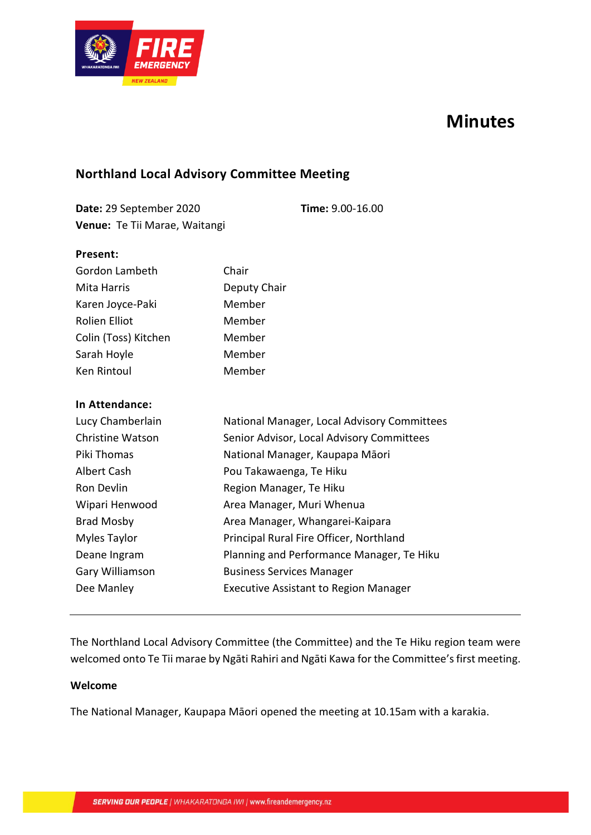

# **Minutes**

## **Northland Local Advisory Committee Meeting**

**Date:** 29 September 2020 **Time:** 9.00-16.00 **Venue:** Te Tii Marae, Waitangi

#### **Present:**

| Gordon Lambeth       | Chair        |
|----------------------|--------------|
| Mita Harris          | Deputy Chair |
| Karen Joyce-Paki     | Member       |
| <b>Rolien Elliot</b> | Member       |
| Colin (Toss) Kitchen | Member       |
| Sarah Hoyle          | Member       |
| Ken Rintoul          | Member       |

#### **In Attendance:**

| Lucy Chamberlain        | National Manager, Local Advisory Committees  |
|-------------------------|----------------------------------------------|
| <b>Christine Watson</b> | Senior Advisor, Local Advisory Committees    |
| Piki Thomas             | National Manager, Kaupapa Māori              |
| Albert Cash             | Pou Takawaenga, Te Hiku                      |
| Ron Devlin              | Region Manager, Te Hiku                      |
| Wipari Henwood          | Area Manager, Muri Whenua                    |
| <b>Brad Mosby</b>       | Area Manager, Whangarei-Kaipara              |
| Myles Taylor            | Principal Rural Fire Officer, Northland      |
| Deane Ingram            | Planning and Performance Manager, Te Hiku    |
| Gary Williamson         | <b>Business Services Manager</b>             |
| Dee Manley              | <b>Executive Assistant to Region Manager</b> |

## The Northland Local Advisory Committee (the Committee) and the Te Hiku region team were welcomed onto Te Tii marae by Ngāti Rahiri and Ngāti Kawa for the Committee's first meeting.

#### **Welcome**

The National Manager, Kaupapa Māori opened the meeting at 10.15am with a karakia.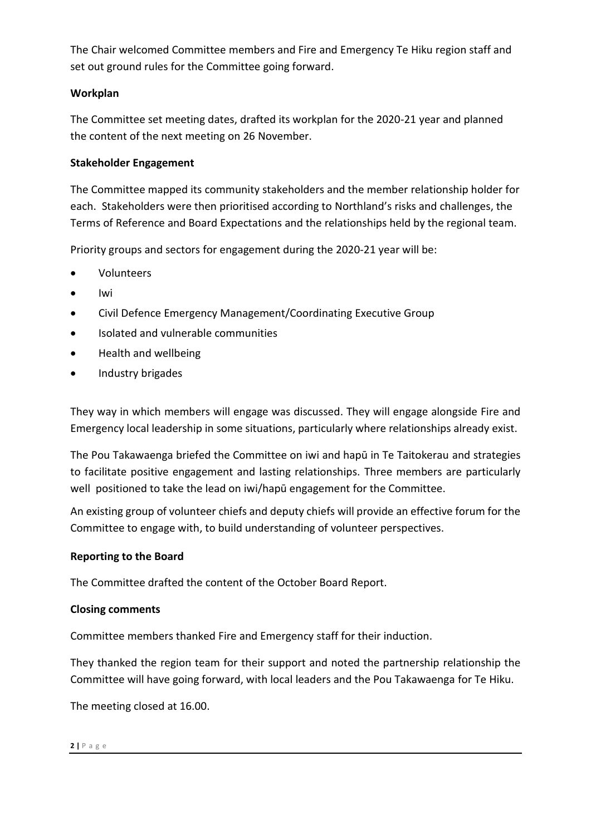The Chair welcomed Committee members and Fire and Emergency Te Hiku region staff and set out ground rules for the Committee going forward.

#### **Workplan**

The Committee set meeting dates, drafted its workplan for the 2020-21 year and planned the content of the next meeting on 26 November.

### **Stakeholder Engagement**

The Committee mapped its community stakeholders and the member relationship holder for each. Stakeholders were then prioritised according to Northland's risks and challenges, the Terms of Reference and Board Expectations and the relationships held by the regional team.

Priority groups and sectors for engagement during the 2020-21 year will be:

- Volunteers
- Iwi
- Civil Defence Emergency Management/Coordinating Executive Group
- Isolated and vulnerable communities
- Health and wellbeing
- Industry brigades

They way in which members will engage was discussed. They will engage alongside Fire and Emergency local leadership in some situations, particularly where relationships already exist.

The Pou Takawaenga briefed the Committee on iwi and hapū in Te Taitokerau and strategies to facilitate positive engagement and lasting relationships. Three members are particularly well positioned to take the lead on iwi/hapū engagement for the Committee.

An existing group of volunteer chiefs and deputy chiefs will provide an effective forum for the Committee to engage with, to build understanding of volunteer perspectives.

#### **Reporting to the Board**

The Committee drafted the content of the October Board Report.

#### **Closing comments**

Committee members thanked Fire and Emergency staff for their induction.

They thanked the region team for their support and noted the partnership relationship the Committee will have going forward, with local leaders and the Pou Takawaenga for Te Hiku.

The meeting closed at 16.00.